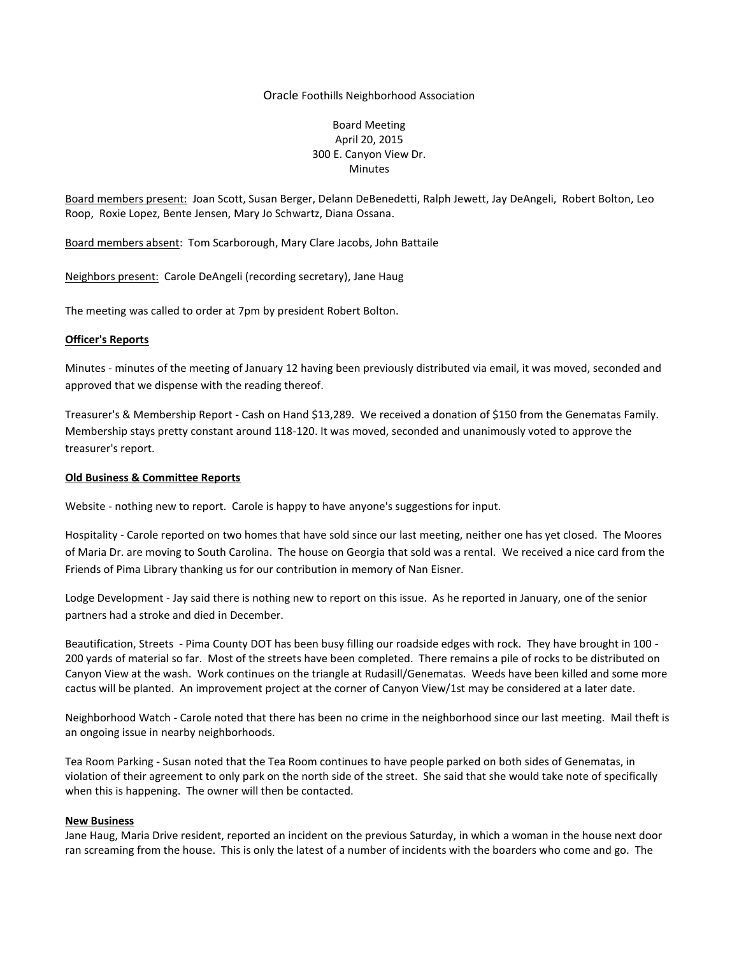## Oracle Foothills Neighborhood Association

# Board Meeting April 20, 2015 300 E. Canyon View Dr. Minutes

Board members present: Joan Scott, Susan Berger, Delann DeBenedetti, Ralph Jewett, Jay DeAngeli, Robert Bolton, Leo Roop, Roxie Lopez, Bente Jensen, Mary Jo Schwartz, Diana Ossana.

Board members absent: Tom Scarborough, Mary Clare Jacobs, John Battaile

Neighbors present: Carole DeAngeli (recording secretary), Jane Haug

The meeting was called to order at 7pm by president Robert Bolton.

### **Officer's Reports**

Minutes - minutes of the meeting of January 12 having been previously distributed via email, it was moved, seconded and approved that we dispense with the reading thereof.

Treasurer's & Membership Report - Cash on Hand \$13,289. We received a donation of \$150 from the Genematas Family. Membership stays pretty constant around 118-120. It was moved, seconded and unanimously voted to approve the treasurer's report.

## **Old Business & Committee Reports**

Website - nothing new to report. Carole is happy to have anyone's suggestions for input.

Hospitality - Carole reported on two homes that have sold since our last meeting, neither one has yet closed. The Moores of Maria Dr. are moving to South Carolina. The house on Georgia that sold was a rental. We received a nice card from the Friends of Pima Library thanking us for our contribution in memory of Nan Eisner.

Lodge Development - Jay said there is nothing new to report on this issue. As he reported in January, one of the senior partners had a stroke and died in December.

Beautification, Streets - Pima County DOT has been busy filling our roadside edges with rock. They have brought in 100 - 200 yards of material so far. Most of the streets have been completed. There remains a pile of rocks to be distributed on Canyon View at the wash. Work continues on the triangle at Rudasill/Genematas. Weeds have been killed and some more cactus will be planted. An improvement project at the corner of Canyon View/1st may be considered at a later date.

Neighborhood Watch - Carole noted that there has been no crime in the neighborhood since our last meeting. Mail theft is an ongoing issue in nearby neighborhoods.

Tea Room Parking - Susan noted that the Tea Room continues to have people parked on both sides of Genematas, in violation of their agreement to only park on the north side of the street. She said that she would take note of specifically when this is happening. The owner will then be contacted.

### **New Business**

Jane Haug, Maria Drive resident, reported an incident on the previous Saturday, in which a woman in the house next door ran screaming from the house. This is only the latest of a number of incidents with the boarders who come and go. The